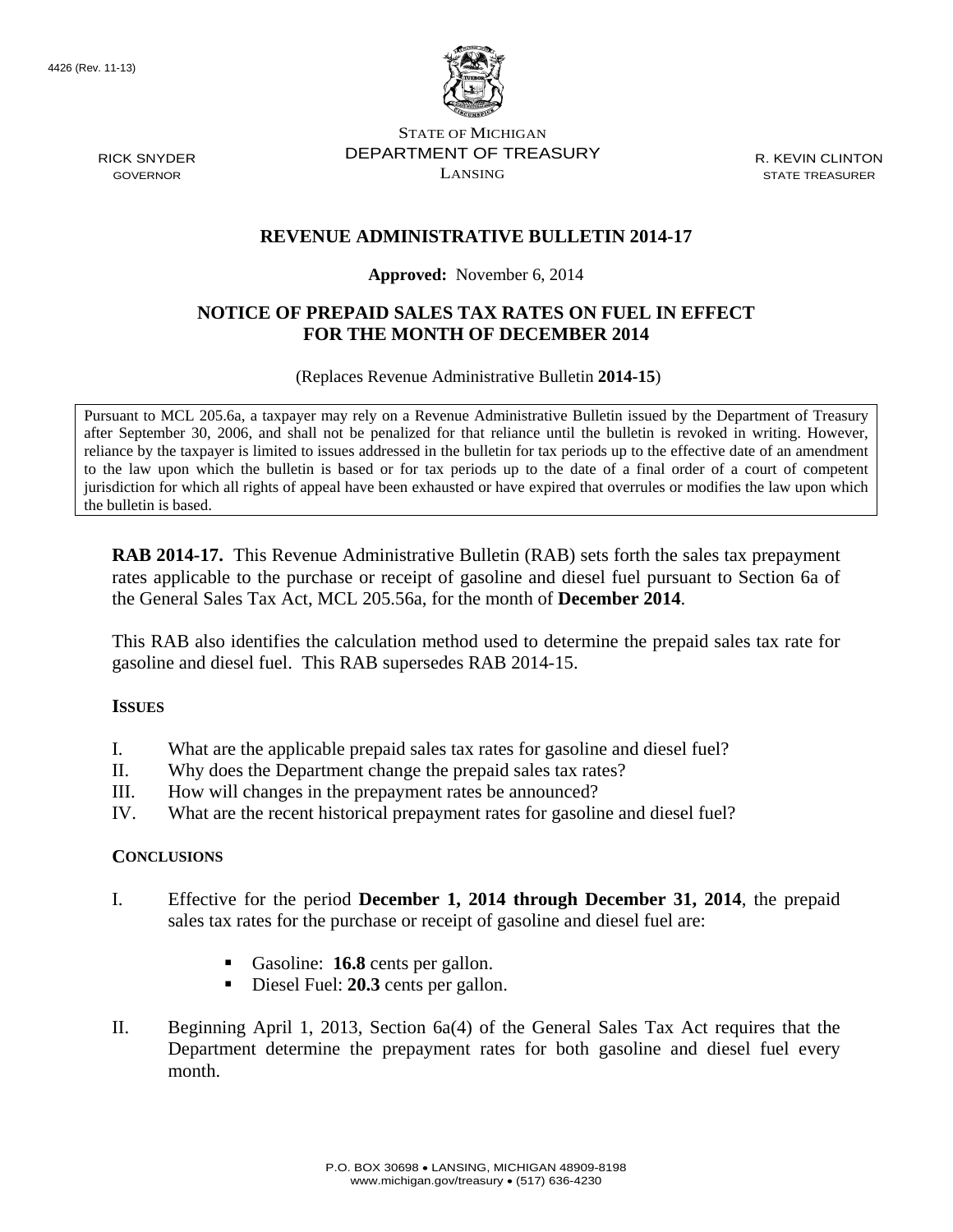

STATE OF MICHIGAN DEPARTMENT OF TREASURY LANSING

R. KEVIN CLINTON STATE TREASURER

### **REVENUE ADMINISTRATIVE BULLETIN 2014-17**

#### **Approved:** November 6, 2014

## **NOTICE OF PREPAID SALES TAX RATES ON FUEL IN EFFECT FOR THE MONTH OF DECEMBER 2014**

(Replaces Revenue Administrative Bulletin **2014-15**)

Pursuant to MCL 205.6a, a taxpayer may rely on a Revenue Administrative Bulletin issued by the Department of Treasury after September 30, 2006, and shall not be penalized for that reliance until the bulletin is revoked in writing. However, reliance by the taxpayer is limited to issues addressed in the bulletin for tax periods up to the effective date of an amendment to the law upon which the bulletin is based or for tax periods up to the date of a final order of a court of competent jurisdiction for which all rights of appeal have been exhausted or have expired that overrules or modifies the law upon which the bulletin is based.

**RAB 2014-17.** This Revenue Administrative Bulletin (RAB) sets forth the sales tax prepayment rates applicable to the purchase or receipt of gasoline and diesel fuel pursuant to Section 6a of the General Sales Tax Act, MCL 205.56a, for the month of **December 2014**.

This RAB also identifies the calculation method used to determine the prepaid sales tax rate for gasoline and diesel fuel. This RAB supersedes RAB 2014-15.

#### **ISSUES**

- I. What are the applicable prepaid sales tax rates for gasoline and diesel fuel?
- II. Why does the Department change the prepaid sales tax rates?
- III. How will changes in the prepayment rates be announced?
- IV. What are the recent historical prepayment rates for gasoline and diesel fuel?

#### **CONCLUSIONS**

- I. Effective for the period **December 1, 2014 through December 31, 2014**, the prepaid sales tax rates for the purchase or receipt of gasoline and diesel fuel are:
	- Gasoline: **16.8** cents per gallon.
	- Diesel Fuel: **20.3** cents per gallon.
- II. Beginning April 1, 2013, Section 6a(4) of the General Sales Tax Act requires that the Department determine the prepayment rates for both gasoline and diesel fuel every month.

RICK SNYDER GOVERNOR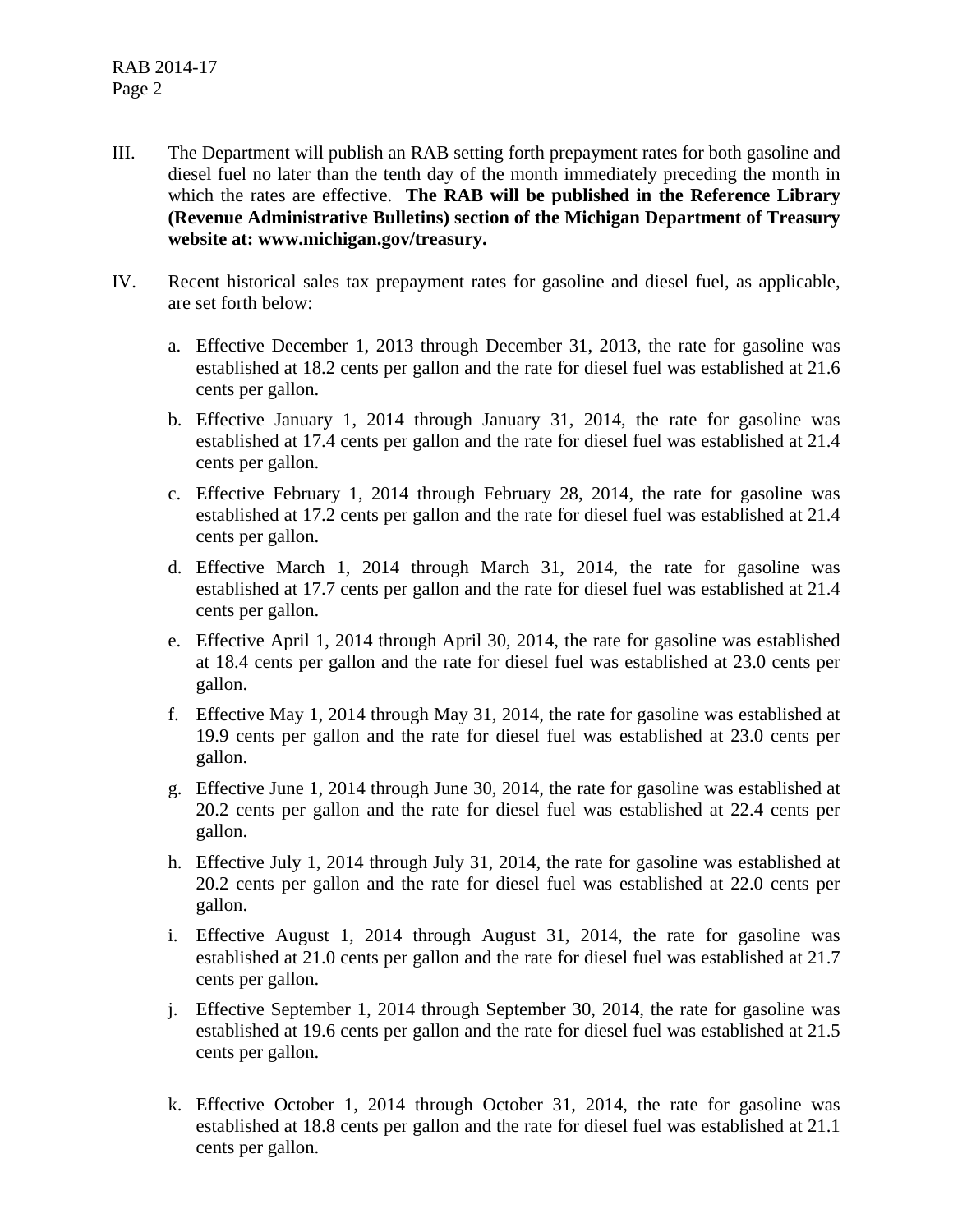- III. The Department will publish an RAB setting forth prepayment rates for both gasoline and diesel fuel no later than the tenth day of the month immediately preceding the month in which the rates are effective. **The RAB will be published in the Reference Library (Revenue Administrative Bulletins) section of the Michigan Department of Treasury website at: www.michigan.gov/treasury.**
- IV. Recent historical sales tax prepayment rates for gasoline and diesel fuel, as applicable, are set forth below:
	- a. Effective December 1, 2013 through December 31, 2013, the rate for gasoline was established at 18.2 cents per gallon and the rate for diesel fuel was established at 21.6 cents per gallon.
	- b. Effective January 1, 2014 through January 31, 2014, the rate for gasoline was established at 17.4 cents per gallon and the rate for diesel fuel was established at 21.4 cents per gallon.
	- c. Effective February 1, 2014 through February 28, 2014, the rate for gasoline was established at 17.2 cents per gallon and the rate for diesel fuel was established at 21.4 cents per gallon.
	- d. Effective March 1, 2014 through March 31, 2014, the rate for gasoline was established at 17.7 cents per gallon and the rate for diesel fuel was established at 21.4 cents per gallon.
	- e. Effective April 1, 2014 through April 30, 2014, the rate for gasoline was established at 18.4 cents per gallon and the rate for diesel fuel was established at 23.0 cents per gallon.
	- f. Effective May 1, 2014 through May 31, 2014, the rate for gasoline was established at 19.9 cents per gallon and the rate for diesel fuel was established at 23.0 cents per gallon.
	- g. Effective June 1, 2014 through June 30, 2014, the rate for gasoline was established at 20.2 cents per gallon and the rate for diesel fuel was established at 22.4 cents per gallon.
	- h. Effective July 1, 2014 through July 31, 2014, the rate for gasoline was established at 20.2 cents per gallon and the rate for diesel fuel was established at 22.0 cents per gallon.
	- i. Effective August 1, 2014 through August 31, 2014, the rate for gasoline was established at 21.0 cents per gallon and the rate for diesel fuel was established at 21.7 cents per gallon.
	- j. Effective September 1, 2014 through September 30, 2014, the rate for gasoline was established at 19.6 cents per gallon and the rate for diesel fuel was established at 21.5 cents per gallon.
	- k. Effective October 1, 2014 through October 31, 2014, the rate for gasoline was established at 18.8 cents per gallon and the rate for diesel fuel was established at 21.1 cents per gallon.